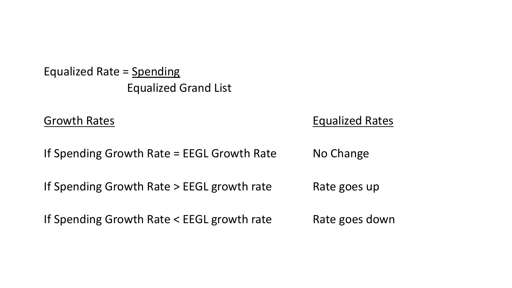Equalized Rate = Spending Equalized Grand List

#### Growth Rates **Equalized Rates**

If Spending Growth Rate = EEGL Growth Rate  $\qquad$  No Change

If Spending Growth Rate > EEGL growth rate Rate goes up

If Spending Growth Rate < EEGL growth rate Rate goes down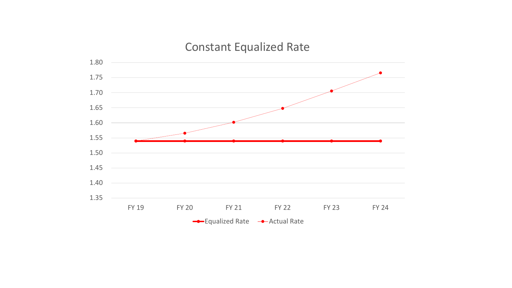# Constant Equalized Rate

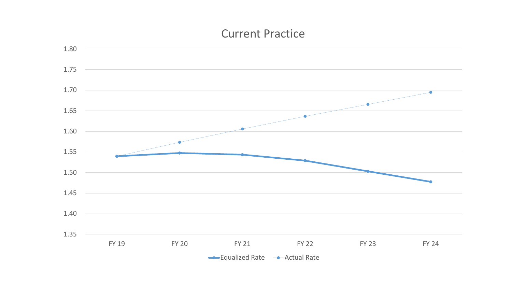### Current Practice

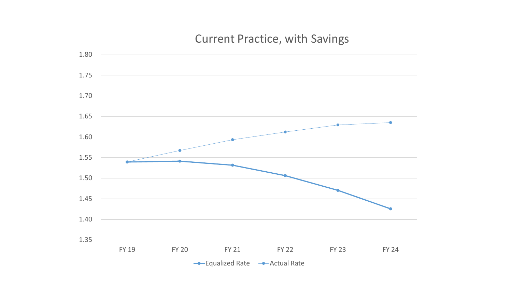### Current Practice, with Savings

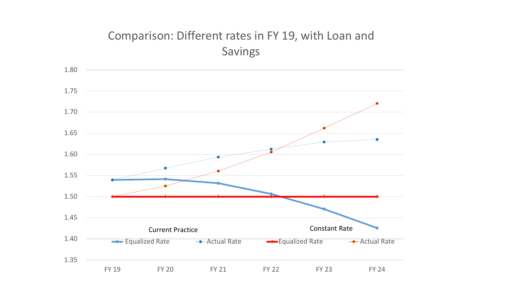## Comparison: Different rates in FY 19, with Loan and Savings